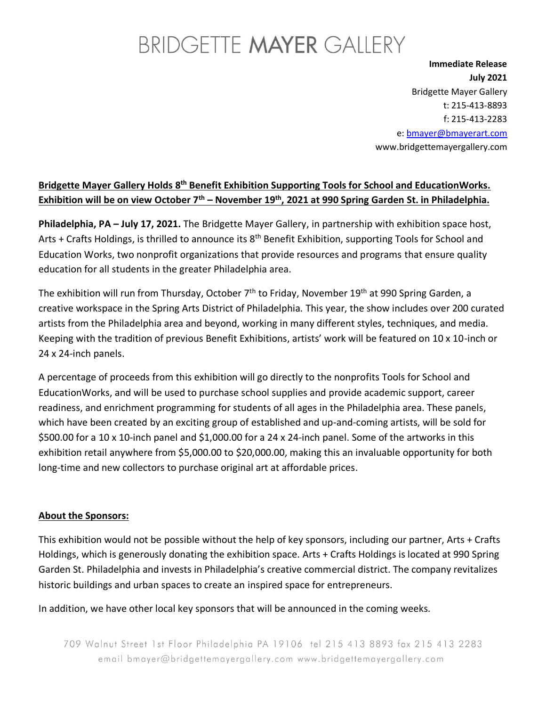## BRIDGETTE MAYER GALLERY

**Immediate Release July 2021** Bridgette Mayer Gallery t: 215-413-8893 f: 215-413-2283 e: [bmayer@bmayerart.com](mailto:bmayer@bmayerart.com) www.bridgettemayergallery.com

### Bridgette Mayer Gallery Holds 8<sup>th</sup> Benefit Exhibition Supporting Tools for School and EducationWorks. **Exhibition will be on view October 7th – November 19th, 2021 at 990 Spring Garden St. in Philadelphia.**

**Philadelphia, PA – July 17, 2021.** The Bridgette Mayer Gallery, in partnership with exhibition space host, Arts + Crafts Holdings, is thrilled to announce its  $8<sup>th</sup>$  Benefit Exhibition, supporting Tools for School and Education Works, two nonprofit organizations that provide resources and programs that ensure quality education for all students in the greater Philadelphia area.

The exhibition will run from Thursday, October 7<sup>th</sup> to Friday, November 19<sup>th</sup> at 990 Spring Garden, a creative workspace in the Spring Arts District of Philadelphia. This year, the show includes over 200 curated artists from the Philadelphia area and beyond, working in many different styles, techniques, and media. Keeping with the tradition of previous Benefit Exhibitions, artists' work will be featured on 10 x 10-inch or 24 x 24-inch panels.

A percentage of proceeds from this exhibition will go directly to the nonprofits Tools for School and EducationWorks, and will be used to purchase school supplies and provide academic support, career readiness, and enrichment programming for students of all ages in the Philadelphia area. These panels, which have been created by an exciting group of established and up-and-coming artists, will be sold for \$500.00 for a 10 x 10-inch panel and \$1,000.00 for a 24 x 24-inch panel. Some of the artworks in this exhibition retail anywhere from \$5,000.00 to \$20,000.00, making this an invaluable opportunity for both long-time and new collectors to purchase original art at affordable prices.

### **About the Sponsors:**

This exhibition would not be possible without the help of key sponsors, including our partner, Arts + Crafts Holdings, which is generously donating the exhibition space. Arts + Crafts Holdings is located at 990 Spring Garden St. Philadelphia and invests in Philadelphia's creative commercial district. The company revitalizes historic buildings and urban spaces to create an inspired space for entrepreneurs.

In addition, we have other local key sponsors that will be announced in the coming weeks.

709 Walnut Street 1st Floor Philadelphia PA 19106 tel 215 413 8893 fax 215 413 2283 email bmayer@bridgettemayergallery.com www.bridgettemayergallery.com